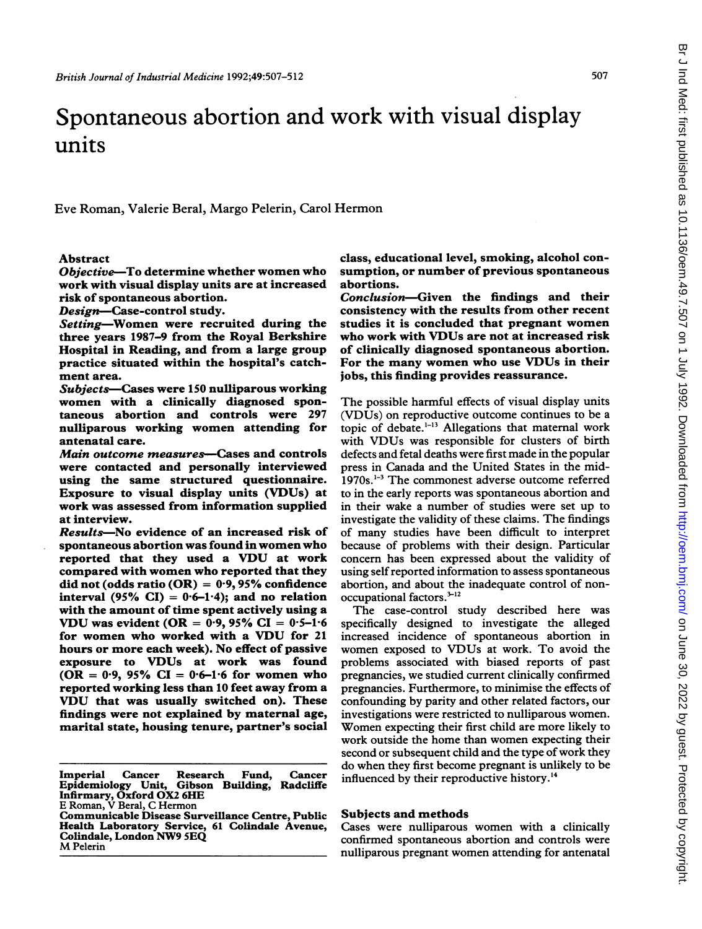# Spontaneous abortion and work with visual display units

Eve Roman, Valerie Beral, Margo Pelerin, Carol Hermon

### Abstract

Objective-To determine whether women who work with visual display units are at increased risk of spontaneous abortion.

Design-Case-control study.

Setting-Women were recruited during the three years 1987-9 from the Royal Berkshire Hospital in Reading, and from a large group practice situated within the hospital's catchment area.

Subjects-Cases were 150 nulliparous working women with a clinically diagnosed spontaneous abortion and controls were 297 nulliparous working women attending for antenatal care.

Main outcome measures-Cases and controls were contacted and personally interviewed using the same structured questionnaire. Exposure to visual display units (VDUs) at work was assessed from information supplied at interview.

Results-No evidence of an increased risk of spontaneous abortion was found in women who reported that they used <sup>a</sup> VDU at work compared with women who reported that they did not (odds ratio  $(OR) = 0.9, 95\%$  confidence interval (95% CI) =  $0.6-1.4$ ); and no relation with the amount of time spent actively using a VDU was evident (OR =  $0.9,95\%$  CI =  $0.5-1.6$ ) for women who worked with <sup>a</sup> VDU for <sup>21</sup> hours or more each week). No effect of passive exposure to VDUs at work was found  $(OR = 0.9, 95\% \text{ CI} = 0.6-1.6 \text{ for women who})$ reported working less than 10 feet away from a VDU that was usually switched on). These findings were not explained by maternal age, marital state, housing tenure, partner's social

Imperial Cancer Research Fund, Cancer Epidemiology Unit, Gibson Building, Radcliffe Infirmary, Oxford OX2 6HE E Roman, V Beral, C Hermon Communicable Disease Surveillance Centre, Public Health Laboratory Service, 61 Colindale Avenue,

Colindale, London NW9 SEQ

M Pelerin

class, educational level, smoking, alcohol consumption, or number of previous spontaneous abortions.

Conclusion-Given the findings and their consistency with the results from other recent studies it is concluded that pregnant women who work with VDUs are not at increased risk of clinically diagnosed spontaneous abortion. For the many women who use VDUs in their jobs, this finding provides reassurance.

The possible harmful effects of visual display units (VDUs) on reproductive outcome continues to be a topic of debate.'-13 Allegations that maternal work with VDUs was responsible for clusters of birth defects and fetal deaths were first made in the popular press in Canada and the United States in the mid-1970s.<sup>1-3</sup> The commonest adverse outcome referred to in the early reports was spontaneous abortion and in their wake a number of studies were set up to investigate the validity of these claims. The findings of many studies have been difficult to interpret because of problems with their design. Particular concern has been expressed about the validity of using self reported information to assess spontaneous abortion, and about the inadequate control of nonoccupational factors. $3-12$ 

The case-control study described here was specifically designed to investigate the alleged increased incidence of spontaneous abortion in women exposed to VDUs at work. To avoid the problems associated with biased reports of past pregnancies, we studied current clinically confirmed pregnancies. Furthermore, to minimise the effects of confounding by parity and other related factors, our investigations were restricted to nulliparous women. Women expecting their first child are more likely to work outside the home than women expecting their second or subsequent child and the type of work they do when they first become pregnant is unlikely to be influenced by their reproductive history.'4

#### Subjects and methods

Cases were nulliparous women with <sup>a</sup> clinically confirmed spontaneous abortion and controls were nulliparous pregnant women attending for antenatal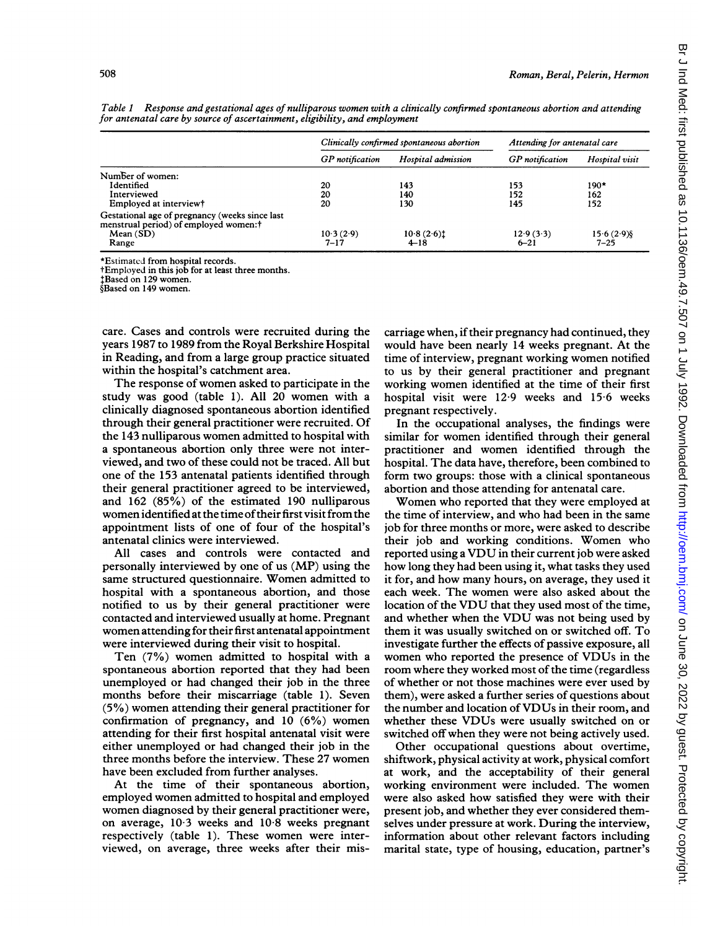Clinically confirmed spontaneous abortion Attending for antenatal care GP notification Hospital admission GP notification Hospital visit Number of women:<br>Identified  $143$  153 190\* Interviewed 20  $20$  140  $152$  162 Employed at interviewt 20 130 145 152 Gestational age of pregnancy (weeks since last menstrual period) of employed women:<sup>†</sup><br>Mean (SD) Mean (SD) 10.3 (2.9) 10.3 (2.9) 10.8 (2.6) 12.9 (3.3) 15.6 (2.9)§ Range 7-17 4-18 6-21 7-25

Table <sup>1</sup> Response and gestational ages of nulliparous women with a clinically confirmed spontaneous abortion and attending for antenatal care by source of ascertainment, eligibility, and employment

\*Estimatcd from hospital records.

tEmployed in this job for at least three months.

+Based on 129 women.

§Based on 149 women.

care. Cases and controls were recruited during the years 1987 to 1989 from the Royal Berkshire Hospital in Reading, and from a large group practice situated within the hospital's catchment area.

The response of women asked to participate in the study was good (table 1). All 20 women with <sup>a</sup> clinically diagnosed spontaneous abortion identified through their general practitioner were recruited. Of the 143 nulliparous women admitted to hospital with a spontaneous abortion only three were not interviewed, and two of these could not be traced. All but one of the 153 antenatal patients identified through their general practitioner agreed to be interviewed, and 162 (85%) of the estimated 190 nulliparous women identified at the time of their first visit from the appointment lists of one of four of the hospital's antenatal clinics were interviewed.

All cases and controls were contacted and personally interviewed by one of us (MP) using the same structured questionnaire. Women admitted to hospital with a spontaneous abortion, and those notified to us by their general practitioner were contacted and interviewed usually at home. Pregnant women attending for their first antenatal appointment were interviewed during their visit to hospital.

Ten (7%) women admitted to hospital with <sup>a</sup> spontaneous abortion reported that they had been unemployed or had changed their job in the three months before their miscarriage (table 1). Seven (5%) women attending their general practitioner for confirmation of pregnancy, and 10 (6%) women attending for their first hospital antenatal visit were either unemployed or had changed their job in the three months before the interview. These 27 women have been excluded from further analyses.

At the time of their spontaneous abortion, employed women admitted to hospital and employed women diagnosed by their general practitioner were, on average, 10-3 weeks and 10-8 weeks pregnant respectively (table 1). These women were interviewed, on average, three weeks after their miscarriage when, if their pregnancy had continued, they would have been nearly 14 weeks pregnant. At the time of interview, pregnant working women notified to us by their general practitioner and pregnant working women identified at the time of their first hospital visit were 12-9 weeks and 15 6 weeks pregnant respectively.

In the occupational analyses, the findings were similar for women identified through their general practitioner and women identified through the hospital. The data have, therefore, been combined to form two groups: those with a clinical spontaneous abortion and those attending for antenatal care.

Women who reported that they were employed at the time of interview, and who had been in the same job for three months or more, were asked to describe their job and working conditions. Women who reported using <sup>a</sup> VDU in their current job were asked how long they had been using it, what tasks they used it for, and how many hours, on average, they used it each week. The women were also asked about the location of the VDU that they used most of the time, and whether when the VDU was not being used by them it was usually switched on or switched off. To investigate further the effects of passive exposure, all women who reported the presence of VDUs in the room where they worked most of the time (regardless of whether or not those machines were ever used by them), were asked a further series of questions about the number and location of VDUs in their room, and whether these VDUs were usually switched on or switched off when they were not being actively used.

Other occupational questions about overtime, shiftwork, physical activity at work, physical comfort at work, and the acceptability of their general working environment were included. The women were also asked how satisfied they were with their present job, and whether they ever considered themselves under pressure at work. During the interview, information about other relevant factors including marital state, type of housing, education, partner's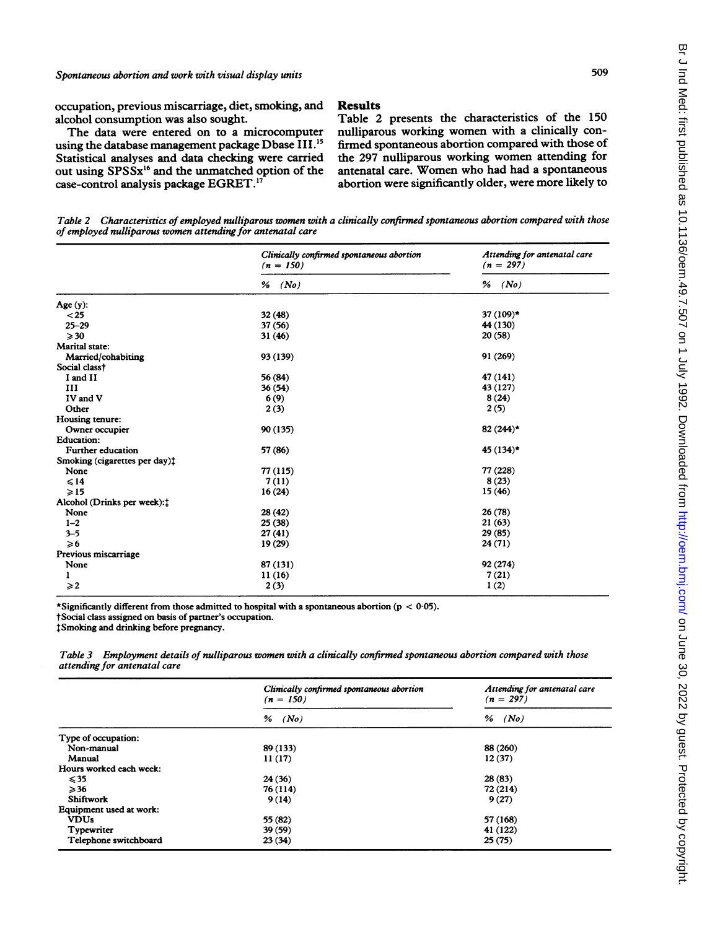occupation, previous miscarriage, diet, smoking, and alcohol consumption was also sought.

The data were entered on to a microcomputer using the database management package Dbase III.<sup>15</sup> Statistical analyses and data checking were carried out using SPSSx<sup>16</sup> and the unmatched option of the case-control analysis package EGRET.'7

## Results

Table 2 presents the characteristics of the 150 nulliparous working women with <sup>a</sup> clinically confirmed spontaneous abortion compared with those of the 297 nulliparous working women attending for antenatal care. Women who had had <sup>a</sup> spontaneous abortion were significantly older, were more likely to

Table 2 Characteristics of employed nulliparous women with a clinically confirmed spontaneous abortion compared with those of employed nulliparous women attending for antenatal care

|                               | Clinically confirmed spontaneous abortion<br>$(n = 150)$ | Attending for antenatal care<br>$(n = 297)$ |  |
|-------------------------------|----------------------------------------------------------|---------------------------------------------|--|
|                               | (No)<br>%                                                | %<br>(No)                                   |  |
| Age(y):                       |                                                          |                                             |  |
| $25$                          | 32 (48)                                                  | 37 (109)*                                   |  |
| $25 - 29$                     | 37 (56)                                                  | 44 (130)                                    |  |
| $\geqslant$ 30                | 31 (46)                                                  | 20(58)                                      |  |
| Marital state:                |                                                          |                                             |  |
| Married/cohabiting            | 93 (139)                                                 | 91 (269)                                    |  |
| Social class†                 |                                                          |                                             |  |
| I and II                      | 56 (84)                                                  | 47 (141)                                    |  |
| III                           | 36 (54)                                                  | 43 (127)                                    |  |
| IV and V                      | 6(9)                                                     | 8(24)                                       |  |
| Other                         | 2(3)                                                     | 2(5)                                        |  |
| Housing tenure:               |                                                          |                                             |  |
| Owner occupier                | 90 (135)                                                 | 82 (244)*                                   |  |
| <b>Education:</b>             |                                                          |                                             |  |
| Further education             | 57 (86)                                                  | 45 (134)*                                   |  |
| Smoking (cigarettes per day): |                                                          |                                             |  |
| None                          | 77 (115)                                                 | 77 (228)                                    |  |
| $\leqslant$ 14                | 7(11)                                                    | 8(23)                                       |  |
| $\geqslant$ 15                | 16(24)                                                   | 15 (46)                                     |  |
| Alcohol (Drinks per week):1   |                                                          |                                             |  |
| None                          | 28 (42)                                                  | 26 (78)                                     |  |
| $1 - 2$                       | 25(38)                                                   | 21(63)                                      |  |
| $3 - 5$                       | 27(41)                                                   | 29 (85)                                     |  |
| $\geq 6$                      | 19(29)                                                   | 24 (71)                                     |  |
| Previous miscarriage          |                                                          |                                             |  |
| None                          | 87 (131)                                                 | 92 (274)                                    |  |
|                               | 11(16)                                                   | 7(21)                                       |  |
| $\geqslant$ 2                 | 2(3)                                                     | 1(2)                                        |  |

\*Significantly different from those admitted to hospital with a spontaneous abortion ( $p < 0.05$ ).

tSocial class assigned on basis of partner's occupation.

\$Smoking and drinking before pregnancy.

Table 3 Employment details of nulliparous women with a clinically confirmed spontaneous abortion compared with those attending for antenatal care

|                         | Clinically confirmed spontaneous abortion<br>$(n = 150)$<br>(No)<br>% | Attending for antenatal care<br>$(n = 297)$ |  |
|-------------------------|-----------------------------------------------------------------------|---------------------------------------------|--|
|                         |                                                                       | (No)<br>%                                   |  |
| Type of occupation:     |                                                                       |                                             |  |
| Non-manual              | 89 (133)                                                              | 88 (260)                                    |  |
| Manual                  | 11(17)                                                                | 12(37)                                      |  |
| Hours worked each week: |                                                                       |                                             |  |
| $\leqslant$ 35          | 24(36)                                                                | 28 (83)                                     |  |
| $\geqslant$ 36          | 76 (114)                                                              | 72 (214)                                    |  |
| <b>Shiftwork</b>        | 9(14)                                                                 | 9(27)                                       |  |
| Equipment used at work: |                                                                       |                                             |  |
| <b>VDUs</b>             | 55 (82)                                                               | 57 (168)                                    |  |
| Typewriter              | 39 (59)                                                               | 41 (122)                                    |  |
| Telephone switchboard   | 23(34)                                                                | 25(75)                                      |  |

509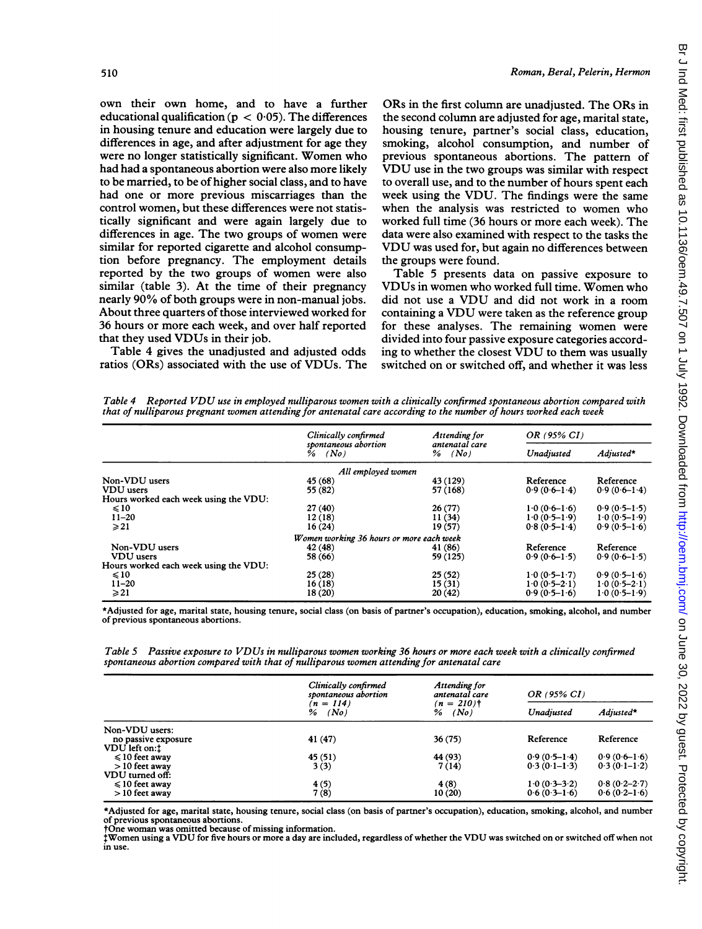own their own home, and to have a further educational qualification ( $p < 0.05$ ). The differences in housing tenure and education were largely due to differences in age, and after adjustment for age they were no longer statistically significant. Women who had had a spontaneous abortion were also more likely to be married, to be of higher social class, and to have had one or more previous miscarriages than the control women, but these differences were not statistically significant and were again largely due to differences in age. The two groups of women were similar for reported cigarette and alcohol consumption before pregnancy. The employment details reported by the two groups of women were also similar (table 3). At the time of their pregnancy nearly 90% of both groups were in non-manual jobs. About three quarters of those interviewed worked for 36 hours or more each week, and over half reported that they used VDUs in their job.

Table 4 gives the unadjusted and adjusted odds ratios (ORs) associated with the use of VDUs. The ORs in the first column are unadjusted. The ORs in the second column are adjusted for age, marital state, housing tenure, partner's social class, education, smoking, alcohol consumption, and number of previous spontaneous abortions. The pattern of VDU use in the two groups was similar with respect to overall use, and to the number of hours spent each week using the VDU. The findings were the same when the analysis was restricted to women who worked full time (36 hours or more each week). The data were also examined with respect to the tasks the VDU was used for, but again no differences between the groups were found.

Table 5 presents data on passive exposure to VDUs in women who worked full time. Women who did not use <sup>a</sup> VDU and did not work in <sup>a</sup> room containing <sup>a</sup> VDU were taken as the reference group for these analyses. The remaining women were divided into four passive exposure categories according to whether the closest VDU to them was usually switched on or switched off, and whether it was less

Table <sup>4</sup> Reported VDU use in employed nulliparous women with <sup>a</sup> clinically confirmed spontaneous abortion compared with that of nulliparous pregnant women attending for antenatal care according to the number of hours worked each week

|                                       | Clinically confirmed<br>spontaneous abortion<br>(No)<br>% | Attending for<br>antenatal care<br>% (No) | OR (95% CI)    |                |
|---------------------------------------|-----------------------------------------------------------|-------------------------------------------|----------------|----------------|
|                                       |                                                           |                                           | Unadiusted     | Adjusted*      |
|                                       | All employed women                                        |                                           |                |                |
| Non-VDU users                         | 45 (68)                                                   | 43 (129)                                  | Reference      | Reference      |
| VDU users                             | 55 (82)                                                   | 57 (168)                                  | $0.9(0.6-1.4)$ | $0.9(0.6-1.4)$ |
| Hours worked each week using the VDU: |                                                           |                                           |                |                |
| $\leq 10$                             | 27(40)                                                    | 26(77)                                    | $1.0(0.6-1.6)$ | $0.9(0.5-1.5)$ |
| $11 - 20$                             | 12(18)                                                    | 11(34)                                    | $1.0(0.5-1.9)$ | $1.0(0.5-1.9)$ |
| $\geqslant$ 21                        | 16(24)                                                    | 19(57)                                    | $0.8(0.5-1.4)$ | $0.9(0.5-1.6)$ |
|                                       | Women working 36 hours or more each week                  |                                           |                |                |
| Non-VDU users                         | 42(48)                                                    | 41 (86)                                   | Reference      | Reference      |
| <b>VDU</b> users                      | 58 (66)                                                   | 59 (125)                                  | $0.9(0.6-1.5)$ | $0.9(0.6-1.5)$ |
| Hours worked each week using the VDU: |                                                           |                                           |                |                |
| $\leq 10$                             | 25(28)                                                    | 25(52)                                    | $1.0(0.5-1.7)$ | $0.9(0.5-1.6)$ |
| $11 - 20$                             | 16(18)                                                    | 15(31)                                    | $1.0(0.5-2.1)$ | $1.0(0.5-2.1)$ |
| $\geqslant$ 21                        | 18(20)                                                    | 20(42)                                    | $0.9(0.5-1.6)$ | $1.0(0.5-1.9)$ |

\*Adjusted for age, marital state, housing tenure, social class (on basis of partner's occupation), education, smoking, alcohol, and number of previous spontaneous abortions.

Table <sup>5</sup> Passive exposure to VDUs in nulliparous women working <sup>36</sup> hours or more each week with <sup>a</sup> clinically confirmed spontaneous abortion compared with that of nulliparous women attending for antenatal care

|                                                           | Clinically confirmed<br>spontaneous abortion<br>$(n = 114)$<br>%<br>(No) | Attending for<br>antenatal care<br>$(n = 210)$ †<br>(No)<br>% | OR (95% CI)                        |                                    |
|-----------------------------------------------------------|--------------------------------------------------------------------------|---------------------------------------------------------------|------------------------------------|------------------------------------|
|                                                           |                                                                          |                                                               | Unadiusted                         | Adjusted*                          |
| Non-VDU users:<br>no passive exposure<br>VDU left on:1    | 41 (47)                                                                  | 36(75)                                                        | Reference                          | Reference                          |
| $\leq 10$ feet away<br>$>10$ feet away                    | 45 (51)<br>3(3)                                                          | 44 (93)<br>7 (14)                                             | $0.9(0.5-1.4)$<br>$0.3(0.1-1.3)$   | $0.9(0.6-1.6)$<br>$0.3(0.1-1.2)$   |
| VDU turned off:<br>$\leq 10$ feet away<br>$>10$ feet away | 4(5)<br>7(8)                                                             | 4(8)<br>10(20)                                                | $1.0(0.3 - 3.2)$<br>$0.6(0.3-1.6)$ | $0.8(0.2 - 2.7)$<br>$0.6(0.2-1.6)$ |

\*Adjusted for age, marital state, housing tenure, social class (on basis of partner's occupation), education, smoking, alcohol, and number of previous spontaneous abortions. tOne woman was omitted because of missing information.

tWomen using <sup>a</sup> VDU for five hours or more <sup>a</sup> day are included, regardless of whether the VDU was switched on or switched off when not in use.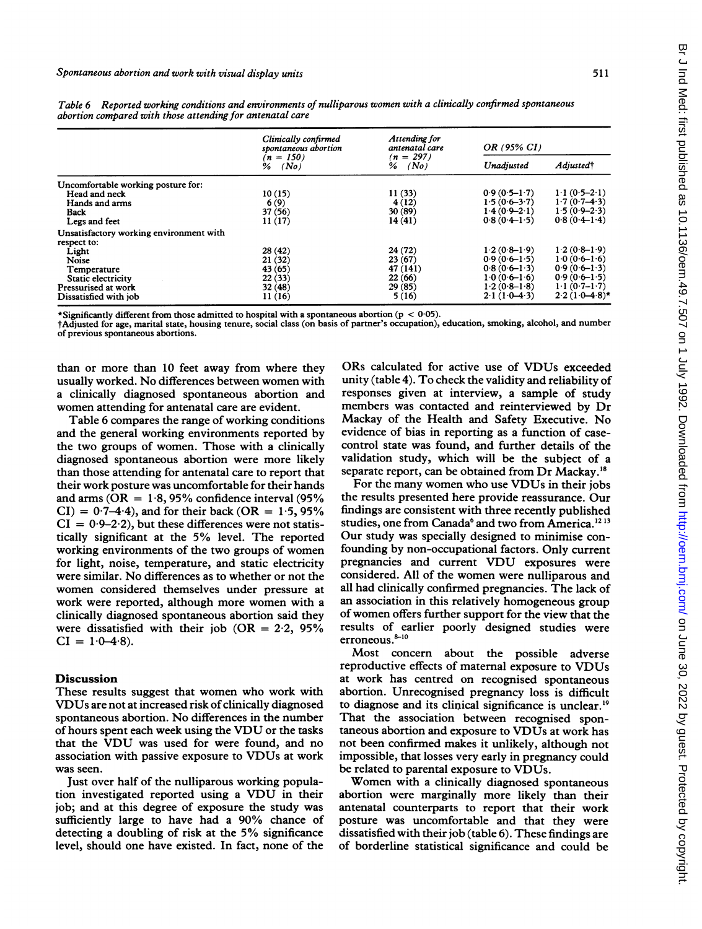|                                         | Clinically confirmed<br>spontaneous abortion<br>$(n = 150)$<br>(No)<br>% | Attending for<br>antenatal care<br>$(n = 297)$<br>(No)<br>% | OR (95% CI)      |                  |
|-----------------------------------------|--------------------------------------------------------------------------|-------------------------------------------------------------|------------------|------------------|
|                                         |                                                                          |                                                             | Unadjusted       | <b>Adjustedt</b> |
| Uncomfortable working posture for:      |                                                                          |                                                             |                  |                  |
| Head and neck                           | 10(15)                                                                   | 11(33)                                                      | $0.9(0.5-1.7)$   | $1.1(0.5-2.1)$   |
| Hands and arms                          | 6(9)                                                                     | 4(12)                                                       | $1.5(0.6 - 3.7)$ | $1.7(0.7-4.3)$   |
| Back                                    | 37(56)                                                                   | 30 (89)                                                     | $1.4(0.9-2.1)$   | $1.5(0.9-2.3)$   |
| Legs and feet                           | 11(17)                                                                   | 14(41)                                                      | $0.8(0.4-1.5)$   | $0.8(0.4-1.4)$   |
| Unsatisfactory working environment with |                                                                          |                                                             |                  |                  |
| respect to:                             |                                                                          |                                                             |                  |                  |
| Light                                   | 28(42)                                                                   | 24 (72)                                                     | $1.2(0.8-1.9)$   | $12(0.8-1.9)$    |
| Noise                                   | 21(32)                                                                   | 23(67)                                                      | $0.9(0.6-1.5)$   | $1.0(0.6-1.6)$   |
| Temperature                             | 43(65)                                                                   | 47 (141)                                                    | $0.8(0.6-1.3)$   | $0.9(0.6-1.3)$   |
| Static electricity                      | 22(33)                                                                   | 22(66)                                                      | $10(06-16)$      | $0.9(0.6-1.5)$   |
| Pressurised at work                     | 32 (48)                                                                  | 29 (85)                                                     | $1.2(0.8-1.8)$   | $1.1(0.7-1.7)$   |
| Dissatisfied with job                   | 11(16)                                                                   | 5(16)                                                       | $2.1(1.0-4.3)$   | $2.2(1.0-4.8)$ * |

Table 6 Reported working conditions and environments of nulliparous women with a clinically confirmed spontaneous abortion compared with those attending for antenatal care

\*Significantly different from those admitted to hospital with a spontaneous abortion ( $p < 0.05$ ).

tAdjusted for age, marital state, housing tenure, social class (on basis of partner's occupation), education, smoking, alcohol, and number of previous spontaneous abortions.

than or more than 10 feet away from where they usually worked. No differences between women with a clinically diagnosed spontaneous abortion and women attending for antenatal care are evident.

Table 6 compares the range of working conditions and the general working environments reported by the two groups of women. Those with a clinically diagnosed spontaneous abortion were more likely than those attending for antenatal care to report that their work posture was uncomfortable for their hands and arms ( $OR = 1.8, 95\%$  confidence interval (95%)  $CI$ ) = 0.7–4.4), and for their back (OR = 1.5, 95%  $CI = 0.9 - 2.2$ , but these differences were not statistically significant at the 5% level. The reported working environments of the two groups of women for light, noise, temperature, and static electricity were similar. No differences as to whether or not the women considered themselves under pressure at work were reported, although more women with <sup>a</sup> clinically diagnosed spontaneous abortion said they were dissatisfied with their job ( $OR = 2.2$ , 95%  $CI = 1.0 - 4.8$ .

## **Discussion**

These results suggest that women who work with VDUs are not at increased risk of clinically diagnosed spontaneous abortion. No differences in the number of hours spent each week using the VDU or the tasks that the VDU was used for were found, and no association with passive exposure to VDUs at work was seen.

Just over half of the nulliparous working population investigated reported using <sup>a</sup> VDU in their job; and at this degree of exposure the study was sufficiently large to have had <sup>a</sup> 90% chance of detecting <sup>a</sup> doubling of risk at the 5% significance level, should one have existed. In fact, none of the

ORs calculated for active use of VDUs exceeded unity (table 4). To check the validity and reliability of responses given at interview, a sample of study members was contacted and reinterviewed by Dr Mackay of the Health and Safety Executive. No evidence of bias in reporting as a function of casecontrol state was found, and further details of the validation study, which will be the subject of a separate report, can be obtained from Dr Mackay.'8

For the many women who use VDUs in their jobs the results presented here provide reassurance. Our findings are consistent with three recently published studies, one from Canada<sup>6</sup> and two from America.<sup>1213</sup> Our study was specially designed to minimise confounding by non-occupational factors. Only current pregnancies and current VDU exposures were considered. All of the women were nulliparous and all had clinically confirmed pregnancies. The lack of an association in this relatively homogeneous group of women offers further support for the view that the results of earlier poorly designed studies were erroneous.<sup>8-10</sup>

Most concern about the possible adverse reproductive effects of maternal exposure to VDUs at work has centred on recognised spontaneous abortion. Unrecognised pregnancy loss is difficult to diagnose and its clinical significance is unclear.'9 That the association between recognised spontaneous abortion and exposure to VDUs at work has not been confirmed makes it unlikely, although not impossible, that losses very early in pregnancy could be related to parental exposure to VDUs.

Women with <sup>a</sup> clinically diagnosed spontaneous abortion were marginally more likely than their antenatal counterparts to report that their work posture was uncomfortable and that they were dissatisfied with their job (table 6). These findings are of borderline statistical significance and could be